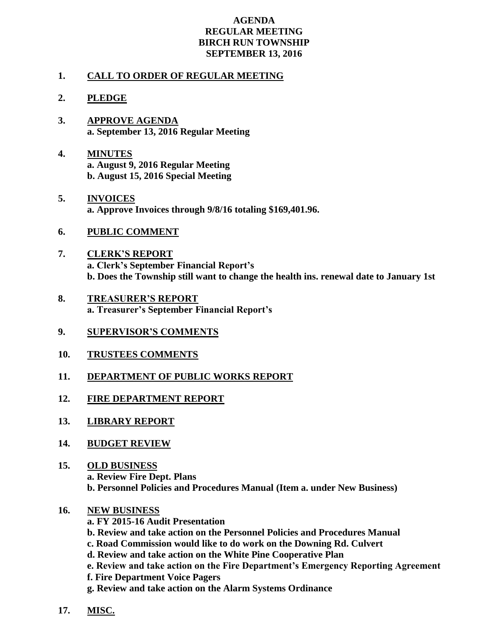## **AGENDA REGULAR MEETING BIRCH RUN TOWNSHIP SEPTEMBER 13, 2016**

## **1. CALL TO ORDER OF REGULAR MEETING**

## **2. PLEDGE**

- **3. APPROVE AGENDA a. September 13, 2016 Regular Meeting**
- **4. MINUTES a. August 9, 2016 Regular Meeting b. August 15, 2016 Special Meeting**
- **5. INVOICES a. Approve Invoices through 9/8/16 totaling \$169,401.96.**
- **6. PUBLIC COMMENT**
- **7. CLERK'S REPORT a. Clerk's September Financial Report's b. Does the Township still want to change the health ins. renewal date to January 1st**
- **8. TREASURER'S REPORT a. Treasurer's September Financial Report's**
- **9. SUPERVISOR'S COMMENTS**
- **10. TRUSTEES COMMENTS**
- **11. DEPARTMENT OF PUBLIC WORKS REPORT**
- **12. FIRE DEPARTMENT REPORT**
- **13. LIBRARY REPORT**
- **14. BUDGET REVIEW**
- **15. OLD BUSINESS a. Review Fire Dept. Plans b. Personnel Policies and Procedures Manual (Item a. under New Business)**
- **16. NEW BUSINESS**
	- **a. FY 2015-16 Audit Presentation b. Review and take action on the Personnel Policies and Procedures Manual c. Road Commission would like to do work on the Downing Rd. Culvert d. Review and take action on the White Pine Cooperative Plan**
		- **e. Review and take action on the Fire Department's Emergency Reporting Agreement**
		- **f. Fire Department Voice Pagers**

**g. Review and take action on the Alarm Systems Ordinance**

**17. MISC.**